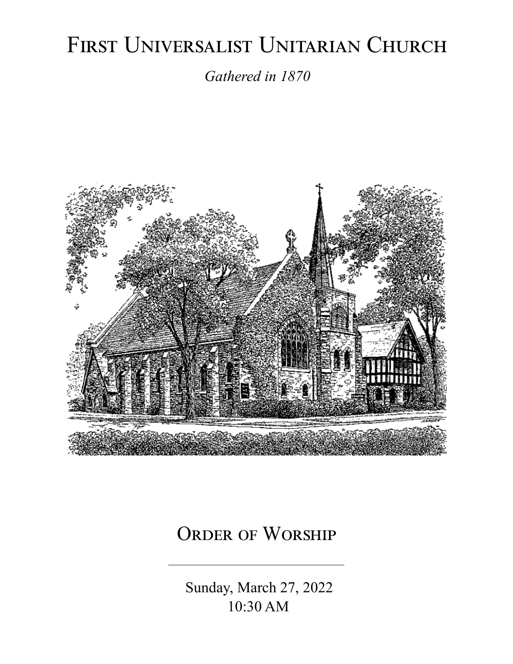# FIRST UNIVERSALIST UNITARIAN CHURCH

*Gathered in 1870*



# ORDER OF WORSHIP

 Sunday, March 27, 2022 10:30 AM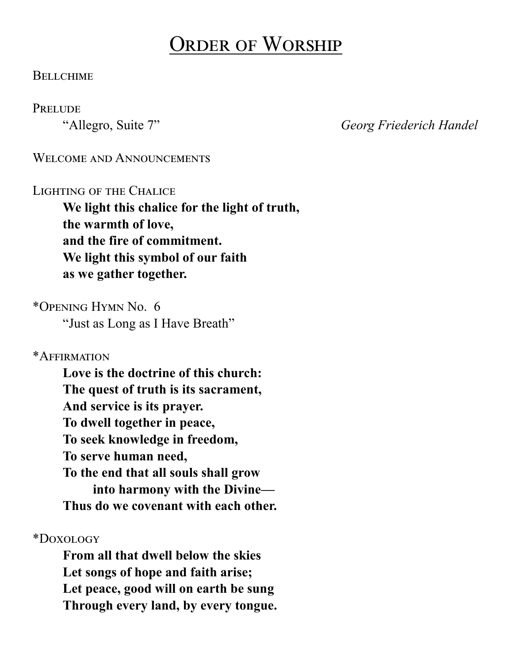# Order of Worship

#### **BELLCHIME**

#### **PRELUDE**

"Allegro, Suite 7" *Georg Friederich Handel*

#### WELCOME AND ANNOUNCEMENTS

#### Lighting of the Chalice

**We light this chalice for the light of truth, the warmth of love, and the fire of commitment. We light this symbol of our faith as we gather together.**

\*Opening Hymn No. 6

"Just as Long as I Have Breath"

\*Affirmation

**Love is the doctrine of this church: The quest of truth is its sacrament, And service is its prayer. To dwell together in peace, To seek knowledge in freedom, To serve human need, To the end that all souls shall grow into harmony with the Divine— Thus do we covenant with each other.**

\*Doxology

**From all that dwell below the skies Let songs of hope and faith arise; Let peace, good will on earth be sung Through every land, by every tongue.**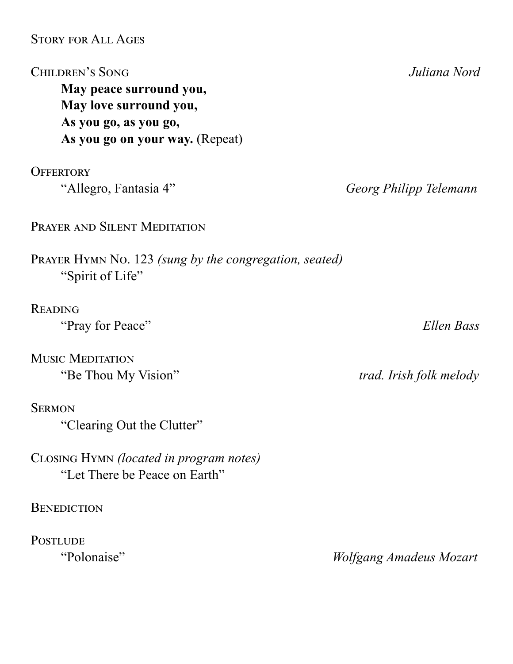#### Story for All Ages

"Clearing Out the Clutter"

**BENEDICTION** 

PostLUDE<br>
"Polonaise"

Closing Hymn *(located in program notes)* "Let There be Peace on Earth"

| <b>CHILDREN'S SONG</b>                                                     | Juliana Nord            |
|----------------------------------------------------------------------------|-------------------------|
| May peace surround you,                                                    |                         |
| May love surround you,                                                     |                         |
| As you go, as you go,                                                      |                         |
| As you go on your way. (Repeat)                                            |                         |
| <b>OFFERTORY</b>                                                           |                         |
| "Allegro, Fantasia 4"                                                      | Georg Philipp Telemann  |
| <b>PRAYER AND SILENT MEDITATION</b>                                        |                         |
| PRAYER HYMN No. 123 (sung by the congregation, seated)<br>"Spirit of Life" |                         |
| <b>READING</b>                                                             |                         |
| "Pray for Peace"                                                           | Ellen Bass              |
| <b>MUSIC MEDITATION</b>                                                    |                         |
| "Be Thou My Vision"                                                        | trad. Irish folk melody |
| <b>SERMON</b>                                                              |                         |

 $Wolfgang$  *Amadeus Mozart*